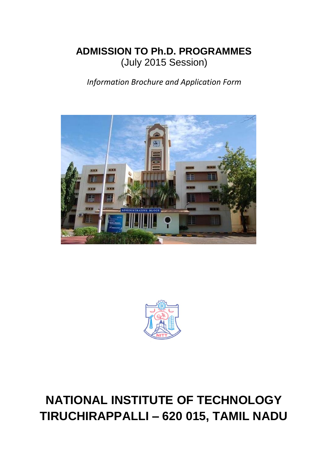# **ADMISSION TO Ph.D. PROGRAMMES** (July 2015 Session)

*Information Brochure and Application Form*





# **NATIONAL INSTITUTE OF TECHNOLOGY TIRUCHIRAPPALLI – 620 015, TAMIL NADU**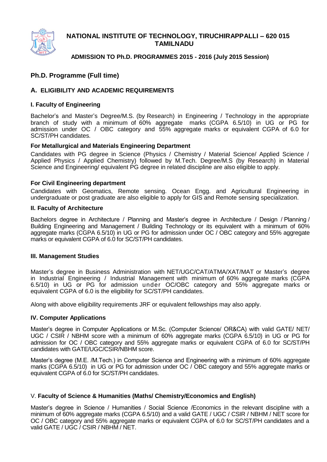

### **NATIONAL INSTITUTE OF TECHNOLOGY, TIRUCHIRAPPALLI – 620 015 TAMILNADU**

### **ADMISSION TO Ph.D. PROGRAMMES 2015 - 2016 (July 2015 Session)**

### **Ph.D. Programme (Full time)**

### **A. ELIGIBILITY AND ACADEMIC REQUIREMENTS**

### **I. Faculty of Engineering**

Bachelor's and Master's Degree/M.S. (by Research) in Engineering / Technology in the appropriate branch of study with a minimum of 60% aggregate marks (CGPA 6.5/10) in UG or PG for admission under OC / OBC category and 55% aggregate marks or equivalent CGPA of 6.0 for SC/ST/PH candidates.

### **For Metallurgical and Materials Engineering Department**

Candidates with PG degree in Science (Physics / Chemistry / Material Science/ Applied Science / Applied Physics / Applied Chemistry) followed by M.Tech. Degree/M.S (by Research) in Material Science and Engineering/ equivalent PG degree in related discipline are also eligible to apply.

### **For Civil Engineering department**

Candidates with Geomatics, Remote sensing. Ocean Engg. and Agricultural Engineering in undergraduate or post graduate are also eligible to apply for GIS and Remote sensing specialization.

#### **II. Faculty of Architecture**

Bachelors degree in Architecture / Planning and Master's degree in Architecture / Design / Planning / Building Engineering and Management / Building Technology or its equivalent with a minimum of 60% aggregate marks (CGPA 6.5/10) in UG or PG for admission under OC / OBC category and 55% aggregate marks or equivalent CGPA of 6.0 for SC/ST/PH candidates.

#### **III. Management Studies**

Master's degree in Business Administration with NET/UGC/CAT/ATMA/XAT/MAT or Master's degree in Industrial Engineering / Industrial Management with minimum of 60% aggregate marks (CGPA 6.5/10) in UG or PG for admission under OC/OBC category and 55% aggregate marks or equivalent CGPA of 6.0 is the eligibility for SC/ST/PH candidates.

Along with above eligibility requirements JRF or equivalent fellowships may also apply.

### **IV. Computer Applications**

Master's degree in Computer Applications or M.Sc. (Computer Science/ OR&CA) with valid GATE/ NET/ UGC / CSIR / NBHM score with a minimum of 60% aggregate marks (CGPA 6.5/10) in UG or PG for admission for OC / OBC category and 55% aggregate marks or equivalent CGPA of 6.0 for SC/ST/PH candidates with GATE/UGC/CSIR/NBHM score.

Master's degree (M.E. /M.Tech.) in Computer Science and Engineering with a minimum of 60% aggregate marks (CGPA 6.5/10) in UG or PG for admission under OC / OBC category and 55% aggregate marks or equivalent CGPA of 6.0 for SC/ST/PH candidates.

### V. **Faculty of Science & Humanities (Maths/ Chemistry/Economics and English)**

Master's degree in Science / Humanities / Social Science /Economics in the relevant discipline with a minimum of 60% aggregate marks (CGPA 6.5/10) and a valid GATE / UGC / CSIR / NBHM / NET score for OC / OBC category and 55% aggregate marks or equivalent CGPA of 6.0 for SC/ST/PH candidates and a valid GATE / UGC / CSIR / NBHM / NET.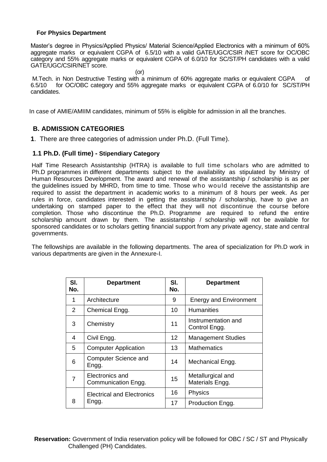### **For Physics Department**

Master's degree in Physics/Applied Physics/ Material Science/Applied Electronics with a minimum of 60% aggregate marks or equivalent CGPA of 6.5/10 with a valid GATE/UGC/CSIR /NET score for OC/OBC category and 55% aggregate marks or equivalent CGPA of 6.0/10 for SC/ST/PH candidates with a valid GATE/UGC/CSIR/NET score.

(or)

M.Tech. in Non Destructive Testing with a minimum of 60% aggregate marks or equivalent CGPA of 6.5/10 for OC/OBC category and 55% aggregate marks or equivalent CGPA of 6.0/10 for SC/ST/PH candidates.

In case of AMIE/AMIIM candidates, minimum of 55% is eligible for admission in all the branches.

### **B. ADMISSION CATEGORIES**

**1**. There are three categories of admission under Ph.D. (Full Time).

### **1.1 Ph.D. (Full time) - Stipendiary Category**

Half Time Research Assistantship (HTRA) is available to full time scholars who are admitted to Ph.D programmes in different departments subject to the availability as stipulated by Ministry of Human Resources Development. The award and renewal of the assistantship / scholarship is as per the guidelines issued by MHRD, from time to time. Those who would receive the assistantship are required to assist the department in academic works to a minimum of 8 hours per week. As per rules in force, candidates interested in getting the assistantship / scholarship, have to give an undertaking on stamped paper to the effect that they will not discontinue the course before completion. Those who discontinue the Ph.D. Programme are required to refund the entire scholarship amount drawn by them. The assistantship / scholarship will not be available for sponsored candidates or to scholars getting financial support from any private agency, state and central governments.

The fellowships are available in the following departments. The area of specialization for Ph.D work in various departments are given in the Annexure-I.

| SI.<br>No.     | <b>Department</b>                      | SI.<br>No.        | <b>Department</b>                    |
|----------------|----------------------------------------|-------------------|--------------------------------------|
| 1              | Architecture                           | 9                 | <b>Energy and Environment</b>        |
| $\overline{2}$ | Chemical Engg.                         | 10                | <b>Humanities</b>                    |
| 3              | Chemistry                              | 11                | Instrumentation and<br>Control Engg. |
| 4              | Civil Engg.                            | $12 \overline{ }$ | <b>Management Studies</b>            |
| 5              | <b>Computer Application</b>            | 13                | <b>Mathematics</b>                   |
| 6              | <b>Computer Science and</b><br>Engg.   | 14                | Mechanical Engg.                     |
| 7              | Electronics and<br>Communication Engg. | 15                | Metallurgical and<br>Materials Engg. |
|                | <b>Electrical and Electronics</b>      | 16                | <b>Physics</b>                       |
| 8              | Engg.                                  | 17                | Production Engg.                     |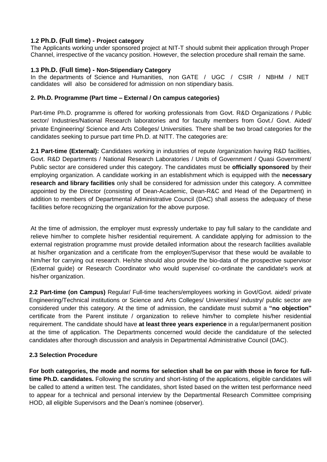### **1.2 Ph.D. (Full time) - Project category**

The Applicants working under sponsored project at NIT-T should submit their application through Proper Channel, irrespective of the vacancy position. However, the selection procedure shall remain the same.

### **1.3 Ph.D. (Full time) - Non-Stipendiary Category**

In the departments of Science and Humanities, non GATE / UGC / CSIR / NBHM / NET candidates will also be considered for admission on non stipendiary basis.

### **2. Ph.D. Programme (Part time – External / On campus categories)**

Part-time Ph.D. programme is offered for working professionals from Govt. R&D Organizations / Public sector/ Industries/National Research laboratories and for faculty members from Govt./ Govt. Aided/ private Engineering/ Science and Arts Colleges/ Universities. There shall be two broad categories for the candidates seeking to pursue part time Ph.D. at NITT. The categories are:

**2.1 Part-time (External):** Candidates working in industries of repute /organization having R&D facilities, Govt. R&D Departments / National Research Laboratories / Units of Government / Quasi Government/ Public sector are considered under this category. The candidates must be **officially sponsored** by their employing organization. A candidate working in an establishment which is equipped with the **necessary research and library facilities** only shall be considered for admission under this category. A committee appointed by the Director (consisting of Dean-Academic, Dean-R&C and Head of the Department) in addition to members of Departmental Administrative Council (DAC) shall assess the adequacy of these facilities before recognizing the organization for the above purpose.

At the time of admission, the employer must expressly undertake to pay full salary to the candidate and relieve him/her to complete his/her residential requirement. A candidate applying for admission to the external registration programme must provide detailed information about the research facilities available at his/her organization and a certificate from the employer/Supervisor that these would be available to him/her for carrying out research. He/she should also provide the bio-data of the prospective supervisor (External guide) or Research Coordinator who would supervise/ co-ordinate the candidate's work at his/her organization.

**2.2 Part-time (on Campus)** Regular/ Full-time teachers/employees working in Govt/Govt. aided/ private Engineering/Technical institutions or Science and Arts Colleges/ Universities/ industry/ public sector are considered under this category. At the time of admission, the candidate must submit a **"no objection"** certificate from the Parent institute / organization to relieve him/her to complete his/her residential requirement. The candidate should have **at least three years experience** in a regular/permanent position at the time of application. The Departments concerned would decide the candidature of the selected candidates after thorough discussion and analysis in Departmental Administrative Council (DAC).

### **2.3 Selection Procedure**

**For both categories, the mode and norms for selection shall be on par with those in force for fulltime Ph.D. candidates.** Following the scrutiny and short-listing of the applications, eligible candidates will be called to attend a written test. The candidates, short listed based on the written test performance need to appear for a technical and personal interview by the Departmental Research Committee comprising HOD, all eligible Supervisors and the Dean's nominee (observer).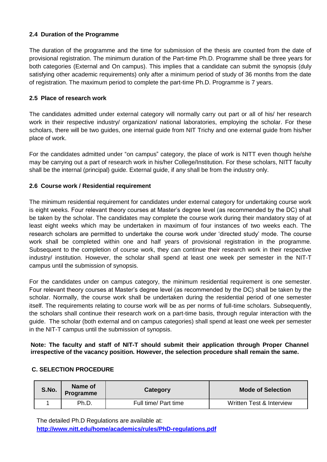### **2.4 Duration of the Programme**

The duration of the programme and the time for submission of the thesis are counted from the date of provisional registration. The minimum duration of the Part-time Ph.D. Programme shall be three years for both categories (External and On campus). This implies that a candidate can submit the synopsis (duly satisfying other academic requirements) only after a minimum period of study of 36 months from the date of registration. The maximum period to complete the part-time Ph.D. Programme is 7 years.

### **2.5 Place of research work**

The candidates admitted under external category will normally carry out part or all of his/ her research work in their respective industry/ organization/ national laboratories, employing the scholar. For these scholars, there will be two guides, one internal guide from NIT Trichy and one external guide from his/her place of work.

For the candidates admitted under "on campus" category, the place of work is NITT even though he/she may be carrying out a part of research work in his/her College/Institution. For these scholars, NITT faculty shall be the internal (principal) guide. External guide, if any shall be from the industry only.

### **2.6 Course work / Residential requirement**

The minimum residential requirement for candidates under external category for undertaking course work is eight weeks. Four relevant theory courses at Master's degree level (as recommended by the DC) shall be taken by the scholar. The candidates may complete the course work during their mandatory stay of at least eight weeks which may be undertaken in maximum of four instances of two weeks each. The research scholars are permitted to undertake the course work under 'directed study' mode. The course work shall be completed within one and half years of provisional registration in the programme. Subsequent to the completion of course work, they can continue their research work in their respective industry/ institution. However, the scholar shall spend at least one week per semester in the NIT-T campus until the submission of synopsis.

For the candidates under on campus category, the minimum residential requirement is one semester. Four relevant theory courses at Master's degree level (as recommended by the DC) shall be taken by the scholar. Normally, the course work shall be undertaken during the residential period of one semester itself. The requirements relating to course work will be as per norms of full-time scholars. Subsequently, the scholars shall continue their research work on a part-time basis, through regular interaction with the guide. The scholar (both external and on campus categories) shall spend at least one week per semester in the NIT-T campus until the submission of synopsis.

### **Note: The faculty and staff of NIT-T should submit their application through Proper Channel irrespective of the vacancy position. However, the selection procedure shall remain the same.**

### **C. SELECTION PROCEDURE**

| S.No. | Name of<br>Programme | Category             | <b>Mode of Selection</b> |
|-------|----------------------|----------------------|--------------------------|
|       | Ph.D.                | Full time/ Part time | Written Test & Interview |

The detailed Ph.D Regulations are available at: **<http://www.nitt.edu/home/academics/rules/PhD-regulations.pdf>**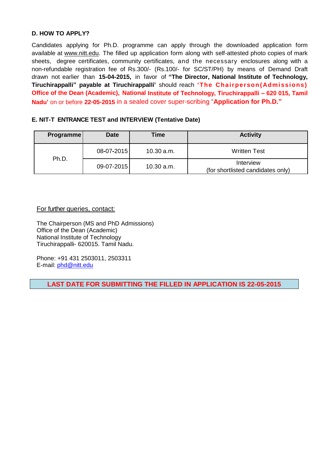### **D. HOW TO APPLY?**

Candidates applying for Ph.D. programme can apply through the downloaded application form available at [www.nitt.edu.](http://www.nitt.edu/) The filled up application form along with self-attested photo copies of mark sheets, degree certificates, community certificates, and the necessary enclosures along with a non-refundable registration fee of Rs.300/- (Rs.100/- for SC/ST/PH) by means of Demand Draft drawn not earlier than **15-04-2015,** in favor of **"The Director, National Institute of Technology, Tiruchirappalli"** payable at Tiruchirappalli' should reach 'The Chairperson(Admissions) **Office of the Dean (Academic), National Institute of Technology, Tiruchirappalli – 620 015, Tamil Nadu'** on or before **22-05-2015** in a sealed cover super-scribing "**Application for Ph.D."**

### **E. NIT-T ENTRANCE TEST and INTERVIEW (Tentative Date)**

| <b>Programme</b> | <b>Date</b> | Time       | <b>Activity</b>                                |
|------------------|-------------|------------|------------------------------------------------|
|                  | 08-07-2015  | 10.30 a.m. | <b>Written Test</b>                            |
| Ph.D.            | 09-07-2015  | 10.30 a.m. | Interview<br>(for shortlisted candidates only) |

### For further queries, contact:

The Chairperson (MS and PhD Admissions) Office of the Dean (Academic) National Institute of Technology Tiruchirappalli- 620015. Tamil Nadu.

Phone: +91 431 2503011, 2503311 E-mail: [phd@nitt.edu](mailto:phd@nitt.edu)

**LAST DATE FOR SUBMITTING THE FILLED IN APPLICATION IS 22-05-2015**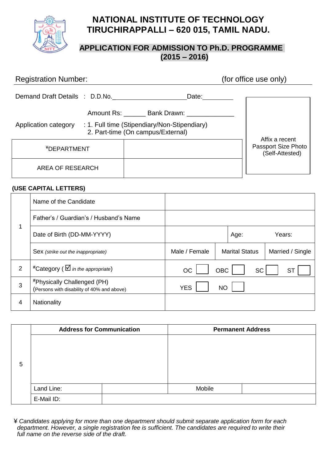

# **NATIONAL INSTITUTE OF TECHNOLOGY TIRUCHIRAPPALLI – 620 015, TAMIL NADU.**

## **APPLICATION FOR ADMISSION TO Ph.D. PROGRAMME (2015 – 2016)**

# Registration Number: (for office use only) Demand Draft Details : D.D.No. Date: Date: Amount Rs: \_\_\_\_\_\_\_ Bank Drawn: Application category : 1. Full time (Stipendiary/Non-Stipendiary) 2. Part-time (On campus/External) Affix a recent Passport Size Photo (Self-Attested) ¥DEPARTMENT AREA OF RESEARCH

### **(USE CAPITAL LETTERS)**

|                | Name of the Candidate                                                                   |               |                       |           |                  |
|----------------|-----------------------------------------------------------------------------------------|---------------|-----------------------|-----------|------------------|
| 1              | Father's / Guardian's / Husband's Name                                                  |               |                       |           |                  |
|                | Date of Birth (DD-MM-YYYY)                                                              |               |                       | Age:      | Years:           |
|                | Sex (strike out the inappropriate)                                                      | Male / Female | <b>Marital Status</b> |           | Married / Single |
| $\overline{2}$ | <sup>#</sup> Category ( $\Box$ in the appropriate)                                      | <b>OC</b>     | <b>OBC</b>            | <b>SC</b> | <b>ST</b>        |
| 3              | <i><b>*Physically Challenged (PH)</b></i><br>(Persons with disability of 40% and above) | <b>YES</b>    | <b>NO</b>             |           |                  |
| 4              | Nationality                                                                             |               |                       |           |                  |

|   | <b>Address for Communication</b> | <b>Permanent Address</b> |  |  |
|---|----------------------------------|--------------------------|--|--|
|   |                                  |                          |  |  |
|   |                                  |                          |  |  |
|   |                                  |                          |  |  |
| 5 |                                  |                          |  |  |
|   |                                  |                          |  |  |
|   | Land Line:                       | Mobile                   |  |  |
|   | E-Mail ID:                       |                          |  |  |

 ¥ *Candidates applying for more than one department should submit separate application form for each department. However, a single registration fee is sufficient. The candidates are required to write their full name on the reverse side of the draft.*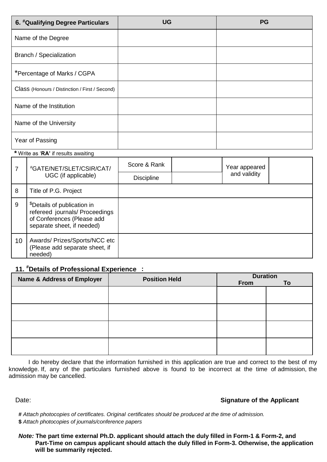| 6. #Qualifying Degree Particulars              | <b>UG</b> | <b>PG</b> |
|------------------------------------------------|-----------|-----------|
| Name of the Degree                             |           |           |
| Branch / Specialization                        |           |           |
| *Percentage of Marks / CGPA                    |           |           |
| Class (Honours / Distinction / First / Second) |           |           |
| Name of the Institution                        |           |           |
| Name of the University                         |           |           |
| Year of Passing                                |           |           |

### **\*** Write as '**RA'** if results awaiting

| 7  | #GATE/NET/SLET/CSIR/CAT/<br>UGC (if applicable)                                                                                       | Score & Rank<br><b>Discipline</b> | Year appeared<br>and validity |  |
|----|---------------------------------------------------------------------------------------------------------------------------------------|-----------------------------------|-------------------------------|--|
| 8  | Title of P.G. Project                                                                                                                 |                                   |                               |  |
| 9  | <sup>\$</sup> Details of publication in<br>refereed journals/ Proceedings<br>of Conferences (Please add<br>separate sheet, if needed) |                                   |                               |  |
| 10 | Awards/ Prizes/Sports/NCC etc<br>(Please add separate sheet, if<br>needed)                                                            |                                   |                               |  |

### **: 11. #Details of Professional [Experience](file:///D:/DEAN%20ACADEMIC%20OFFICE/Administrator/AppData/Local/Microsoft/Windows/Temporary%20Internet%20Files/Local%20Settings/AppData/Local/Microsoft/Windows/Temporary%20Internet%20Files/Local%20Settings/Temporary%20Internet%20Files/Content.IE5/Z01PV7FW/mailto%3fExperience@%3f)**

| <b>Name &amp; Address of Employer</b> | <b>Position Held</b> | <b>Duration</b><br>From | To |
|---------------------------------------|----------------------|-------------------------|----|
|                                       |                      |                         |    |
|                                       |                      |                         |    |
|                                       |                      |                         |    |
|                                       |                      |                         |    |

 I do hereby declare that the information furnished in this application are true and correct to the best of my knowledge. If, any of the particulars furnished above is found to be incorrect at the time of admission, the admission may be cancelled.

### Date: **Signature of the Applicant**

**#** *Attach photocopies of certificates. Original certificates should be produced at the time of admission.* **\$** *Attach photocopies of journals/conference papers* 

*Note:* **The part time external Ph.D. applicant should attach the duly filled in Form-1 & Form-2, and**  **Part-Time on campus applicant should attach the duly filled in Form-3. Otherwise, the application will be summarily rejected.**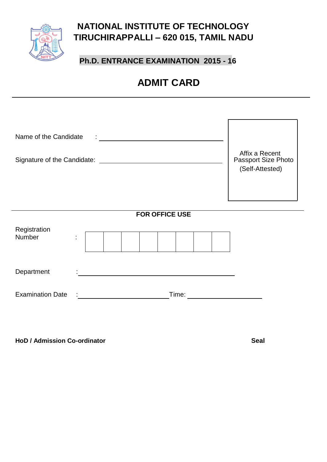

# **NATIONAL INSTITUTE OF TECHNOLOGY TIRUCHIRAPPALLI – 620 015, TAMIL NADU**

# **Ph.D. ENTRANCE EXAMINATION 2015 - 16**

# **ADMIT CARD**

| Name of the Candidate                           | Affix a Recent<br>Passport Size Photo<br>(Self-Attested) |
|-------------------------------------------------|----------------------------------------------------------|
| <b>FOR OFFICE USE</b><br>Registration<br>Number |                                                          |
| Department                                      |                                                          |
| <b>Examination Date</b><br>Time:                |                                                          |

**HoD / Admission Co-ordinator Seal**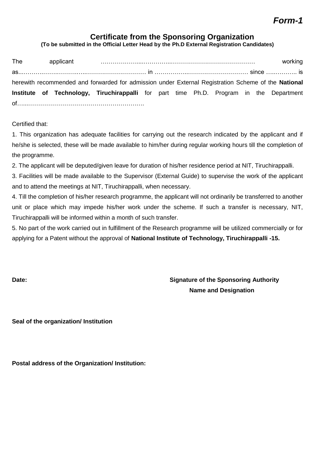## **Certificate from the Sponsoring Organization**

**(To be submitted in the Official Letter Head by the Ph.D External Registration Candidates)**

| The |  |                                                                                                     |  |  |  | working |
|-----|--|-----------------------------------------------------------------------------------------------------|--|--|--|---------|
|     |  |                                                                                                     |  |  |  |         |
|     |  | herewith recommended and forwarded for admission under External Registration Scheme of the National |  |  |  |         |
|     |  | Institute of Technology, Tiruchirappalli for part time Ph.D. Program in the Department              |  |  |  |         |
|     |  |                                                                                                     |  |  |  |         |

Certified that:

1. This organization has adequate facilities for carrying out the research indicated by the applicant and if he/she is selected, these will be made available to him/her during regular working hours till the completion of the programme.

2. The applicant will be deputed/given leave for duration of his/her residence period at NIT, Tiruchirappalli.

3. Facilities will be made available to the Supervisor (External Guide) to supervise the work of the applicant and to attend the meetings at NIT, Tiruchirappalli, when necessary.

4. Till the completion of his/her research programme, the applicant will not ordinarily be transferred to another unit or place which may impede his/her work under the scheme. If such a transfer is necessary, NIT, Tiruchirappalli will be informed within a month of such transfer.

5. No part of the work carried out in fulfillment of the Research programme will be utilized commercially or for applying for a Patent without the approval of **National Institute of Technology, Tiruchirappalli -15.**

**Date: Date: Constant Constant Constant Constant Constant Constant Constant Constant Constant Constant Constant Constant Constant Constant Constant Constant Constant Constant Constant Constant Constant Constant Constan Name and Designation**

**Seal of the organization/ Institution**

**Postal address of the Organization/ Institution:**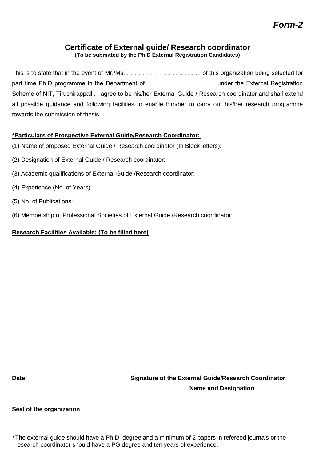# **Certificate of External guide/ Research coordinator**

**(To be submitted by the Ph.D External Registration Candidates)**

This is to state that in the event of Mr./Ms. ………………………………. of this organization being selected for part time Ph.D programme in the Department of ……………………………. under the External Registration Scheme of NIT, Tiruchirappalli, I agree to be his/her External Guide / Research coordinator and shall extend all possible guidance and following facilities to enable him/her to carry out his/her research programme towards the submission of thesis.

### **\*Particulars of Prospective External Guide/Research Coordinator:**

- (1) Name of proposed External Guide / Research coordinator (In Block letters):
- (2) Designation of External Guide / Research coordinator:
- (3) Academic qualifications of External Guide /Research coordinator:
- (4) Experience (No. of Years):
- (5) No. of Publications:
- (6) Membership of Professional Societies of External Guide /Research coordinator:

### **Research Facilities Available: (To be filled here)**

**Date: Signature of the External Guide/Research Coordinator Name and Designation**

### **Seal of the organization**

\*The external guide should have a Ph.D. degree and a minimum of 2 papers in refereed journals or the research coordinator should have a PG degree and ten years of experience.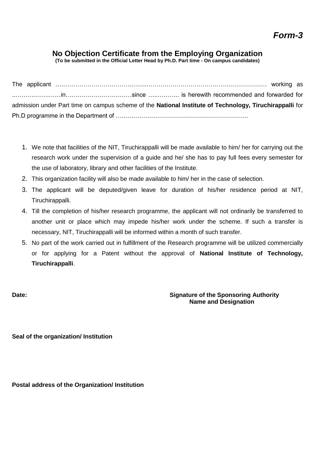### **No Objection Certificate from the Employing Organization**

**(To be submitted in the Official Letter Head by Ph.D. Part time - On campus candidates)**

|  |  | admission under Part time on campus scheme of the National Institute of Technology, Tiruchirappalli for |  |
|--|--|---------------------------------------------------------------------------------------------------------|--|
|  |  |                                                                                                         |  |

- 1. We note that facilities of the NIT, Tiruchirappalli will be made available to him/ her for carrying out the research work under the supervision of a guide and he/ she has to pay full fees every semester for the use of laboratory, library and other facilities of the Institute.
- 2. This organization facility will also be made available to him/ her in the case of selection.
- 3. The applicant will be deputed/given leave for duration of his/her residence period at NIT, Tiruchirappalli.
- 4. Till the completion of his/her research programme, the applicant will not ordinarily be transferred to another unit or place which may impede his/her work under the scheme. If such a transfer is necessary, NIT, Tiruchirappalli will be informed within a month of such transfer.
- 5. No part of the work carried out in fulfillment of the Research programme will be utilized commercially or for applying for a Patent without the approval of **National Institute of Technology, Tiruchirappalli**.

### **Date: Date: Constant Constant Constant Constant Constant Constant Constant Constant Constant Constant Constant Constant Constant Constant Constant Constant Constant Constant Constant Constant Constant Constant Constan Name and Designation**

**Seal of the organization/ Institution**

**Postal address of the Organization/ Institution**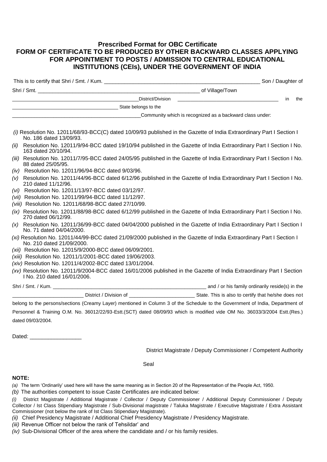### **Prescribed Format for OBC Certificate FORM OF CERTIFICATE TO BE PRODUCED BY OTHER BACKWARD CLASSES APPLYING FOR APPOINTMENT TO POSTS / ADMISSION TO CENTRAL EDUCATIONAL INSTITUTIONS (CEIs), UNDER THE GOVERNMENT OF INDIA**

|     | <u> 2000 - Jan Barnett, fransk politiker (d. 1982)</u><br>in                                                                                        | the |
|-----|-----------------------------------------------------------------------------------------------------------------------------------------------------|-----|
|     |                                                                                                                                                     |     |
|     | Community which is recognized as a backward class under:                                                                                            |     |
|     | (i) Resolution No. 12011/68/93-BCC(C) dated 10/09/93 published in the Gazette of India Extraordinary Part I Section I<br>No. 186 dated 13/09/93.    |     |
|     | (ii) Resolution No. 12011/9/94-BCC dated 19/10/94 published in the Gazette of India Extraordinary Part I Section I No.<br>163 dated 20/10/94.       |     |
|     | (iii) Resolution No. 12011/7/95-BCC dated 24/05/95 published in the Gazette of India Extraordinary Part I Section I No.<br>88 dated 25/05/95.       |     |
|     | (iv) Resolution No. 12011/96/94-BCC dated 9/03/96.                                                                                                  |     |
| (V) | Resolution No. 12011/44/96-BCC dated 6/12/96 published in the Gazette of India Extraordinary Part I Section I No.<br>210 dated 11/12/96.            |     |
|     | (vi) Resolution No. 12011/13/97-BCC dated 03/12/97.                                                                                                 |     |
|     | (vii) Resolution No. 12011/99/94-BCC dated 11/12/97.                                                                                                |     |
|     | (viii) Resolution No. 12011/68/98-BCC dated 27/10/99.                                                                                               |     |
|     | (ix) Resolution No. 12011/88/98-BCC dated 6/12/99 published in the Gazette of India Extraordinary Part I Section I No.<br>270 dated 06/12/99.       |     |
|     | (x) Resolution No. 12011/36/99-BCC dated 04/04/2000 published in the Gazette of India Extraordinary Part I Section I<br>No. 71 dated 04/04/2000.    |     |
|     | (xi) Resolution No. 12011/44/99-BCC dated 21/09/2000 published in the Gazette of India Extraordinary Part I Section I<br>No. 210 dated 21/09/2000.  |     |
|     | (xii) Resolution No. 12015/9/2000-BCC dated 06/09/2001.                                                                                             |     |
|     | (xiii) Resolution No. 12011/1/2001-BCC dated 19/06/2003.                                                                                            |     |
|     | (xiv) Resolution No. 12011/4/2002-BCC dated 13/01/2004.                                                                                             |     |
|     | (xv) Resolution No. 12011/9/2004-BCC dated 16/01/2006 published in the Gazette of India Extraordinary Part I Section<br>I No. 210 dated 16/01/2006. |     |

Shri / Smt. / Kum. \_\_\_\_\_\_\_\_\_\_\_\_\_\_\_\_\_\_\_\_\_\_\_\_\_\_\_\_\_\_\_\_\_\_\_\_\_\_\_\_\_\_\_\_\_\_\_\_\_\_\_\_\_\_\_\_ and / or his family ordinarily reside(s) in the \_\_\_\_\_\_\_\_\_\_\_\_\_\_\_\_\_\_\_\_\_\_\_\_\_\_ District / Division of \_\_\_\_\_\_\_\_\_\_\_\_\_\_\_\_\_\_\_\_\_\_\_\_ State. This is also to certify that he/she does not

belong to the persons/sections (Creamy Layer) mentioned in Column 3 of the Schedule to the Government of India, Department of Personnel & Training O.M. No. 36012/22/93-Estt.(SCT) dated 08/09/93 which is modified vide OM No. 36033/3/2004 Estt.(Res.) dated 09/03/2004.

Dated: \_\_\_\_\_\_\_\_\_\_\_\_\_\_\_\_\_

District Magistrate / Deputy Commissioner / Competent Authority

Seal

### **NOTE:**

*(a)* The term 'Ordinarily' used here will have the same meaning as in Section 20 of the Representation of the People Act, 1950.

*(b)* The authorities competent to issue Caste Certificates are indicated below:

*(i)* District Magistrate / Additional Magistrate / Collector / Deputy Commissioner / Additional Deputy Commissioner / Deputy Collector / Ist Class Stipendiary Magistrate / Sub-Divisional magistrate / Taluka Magistrate / Executive Magistrate / Extra Assistant Commissioner (not below the rank of Ist Class Stipendiary Magistrate).

*(ii)* Chief Presidency Magistrate / Additional Chief Presidency Magistrate / Presidency Magistrate.

*(iii)* Revenue Officer not below the rank of Tehsildar' and

*(iv)* Sub-Divisional Officer of the area where the candidate and / or his family resides.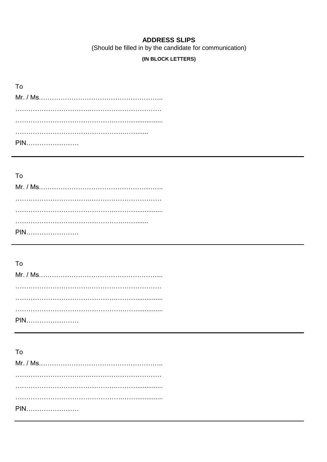### **ADDRESS SLIPS**

(Should be filled in by the candidate for communication)

### (IN BLOCK LETTERS)

| T٥  |
|-----|
|     |
|     |
|     |
|     |
| PIN |

### To

| PIN |
|-----|

# To

| PIN |
|-----|

## To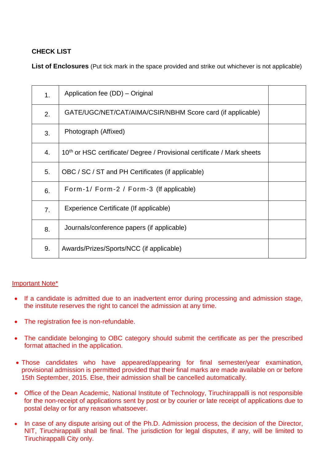### **CHECK LIST**

**List of Enclosures** (Put tick mark in the space provided and strike out whichever is not applicable)

| 1. | Application fee (DD) – Original                                                     |  |
|----|-------------------------------------------------------------------------------------|--|
| 2. | GATE/UGC/NET/CAT/AIMA/CSIR/NBHM Score card (if applicable)                          |  |
| 3. | Photograph (Affixed)                                                                |  |
| 4. | 10 <sup>th</sup> or HSC certificate/ Degree / Provisional certificate / Mark sheets |  |
| 5. | OBC / SC / ST and PH Certificates (if applicable)                                   |  |
| 6. | Form-1/Form-2 / Form-3 (If applicable)                                              |  |
| 7. | Experience Certificate (If applicable)                                              |  |
| 8. | Journals/conference papers (if applicable)                                          |  |
| 9. | Awards/Prizes/Sports/NCC (if applicable)                                            |  |
|    |                                                                                     |  |

### Important Note\*

- If a candidate is admitted due to an inadvertent error during processing and admission stage, the institute reserves the right to cancel the admission at any time.
- The registration fee is non-refundable.
- The candidate belonging to OBC category should submit the certificate as per the prescribed format attached in the application.
- Those candidates who have appeared/appearing for final semester/year examination, provisional admission is permitted provided that their final marks are made available on or before 15th September, 2015. Else, their admission shall be cancelled automatically.
- Office of the Dean Academic, National Institute of Technology, Tiruchirappalli is not responsible for the non-receipt of applications sent by post or by courier or late receipt of applications due to postal delay or for any reason whatsoever.
- In case of any dispute arising out of the Ph.D. Admission process, the decision of the Director, NIT, Tiruchirappalli shall be final. The jurisdiction for legal disputes, if any, will be limited to Tiruchirappalli City only.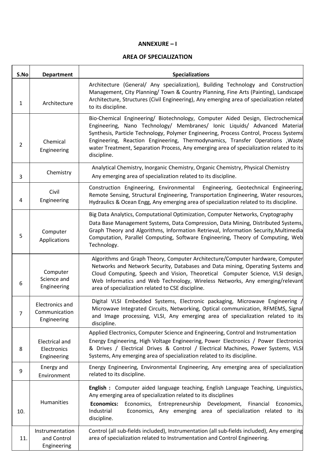#### **ANNEXURE – I**

#### **AREA OF SPECIALIZATION**

| S.No           | <b>Department</b>                                      | <b>Specializations</b>                                                                                                                                                                                                                                                                                                                                                                                                                            |
|----------------|--------------------------------------------------------|---------------------------------------------------------------------------------------------------------------------------------------------------------------------------------------------------------------------------------------------------------------------------------------------------------------------------------------------------------------------------------------------------------------------------------------------------|
| 1              | Architecture                                           | Architecture (General/ Any specialization), Building Technology and Construction<br>Management, City Planning/ Town & Country Planning, Fine Arts (Painting), Landscape<br>Architecture, Structures (Civil Engineering), Any emerging area of specialization related<br>to its discipline.                                                                                                                                                        |
| $\overline{2}$ | Chemical<br>Engineering                                | Bio-Chemical Engineering/ Biotechnology, Computer Aided Design, Electrochemical<br>Engineering, Nano Technology/ Membranes/ Ionic Liquids/ Advanced Material<br>Synthesis, Particle Technology, Polymer Engineering, Process Control, Process Systems<br>Engineering, Reaction Engineering, Thermodynamics, Transfer Operations , Waste<br>water Treatment, Separation Process, Any emerging area of specialization related to its<br>discipline. |
| 3              | Chemistry                                              | Analytical Chemistry, Inorganic Chemistry, Organic Chemistry, Physical Chemistry<br>Any emerging area of specialization related to its discipline.                                                                                                                                                                                                                                                                                                |
| 4              | Civil<br>Engineering                                   | Construction Engineering, Environmental Engineering, Geotechnical Engineering,<br>Remote Sensing, Structural Engineering, Transportation Engineering, Water resources,<br>Hydraulics & Ocean Engg, Any emerging area of specialization related to its discipline.                                                                                                                                                                                 |
| 5              | Computer<br>Applications                               | Big Data Analytics, Computational Optimization, Computer Networks, Cryptography<br>Data Base Management Systems, Data Compression, Data Mining, Distributed Systems,<br>Graph Theory and Algorithms, Information Retrieval, Information Security, Multimedia<br>Computation, Parallel Computing, Software Engineering, Theory of Computing, Web<br>Technology.                                                                                    |
| 6              | Computer<br>Science and<br>Engineering                 | Algorithms and Graph Theory, Computer Architecture/Computer hardware, Computer<br>Networks and Network Security, Databases and Data mining, Operating Systems and<br>Cloud Computing, Speech and Vision, Theoretical Computer Science, VLSI design,<br>Web Informatics and Web Technology, Wireless Networks, Any emerging/relevant<br>area of specialization related to CSE discipline.                                                          |
| 7              | <b>Electronics and</b><br>Communication<br>Engineering | Digital VLSI Embedded Systems, Electronic packaging, Microwave Engineering,<br>Microwave Integrated Circuits, Networking, Optical communication, RFMEMS, Signal<br>and Image processing, VLSI, Any emerging area of specialization related to its<br>discipline.                                                                                                                                                                                  |
| 8              | <b>Electrical and</b><br>Electronics<br>Engineering    | Applied Electronics, Computer Science and Engineering, Control and Instrumentation<br>Energy Engineering, High Voltage Engineering, Power Electronics / Power Electronics<br>& Drives / Electrical Drives & Control / Electrical Machines, Power Systems, VLSI<br>Systems, Any emerging area of specialization related to its discipline.                                                                                                         |
| 9              | Energy and<br>Environment                              | Energy Engineering, Environmental Engineering, Any emerging area of specialization<br>related to its discipline.                                                                                                                                                                                                                                                                                                                                  |
| 10.            | Humanities                                             | English : Computer aided language teaching, English Language Teaching, Linguistics,<br>Any emerging area of specialization related to its disciplines<br><b>Economics:</b><br>Economics, Entrepreneurship Development,<br>Financial<br>Economics,<br>Industrial<br>Economics, Any emerging area of specialization related to its<br>discipline.                                                                                                   |
| 11.            | Instrumentation<br>and Control<br>Engineering          | Control (all sub-fields included), Instrumentation (all sub-fields included), Any emerging<br>area of specialization related to Instrumentation and Control Engineering.                                                                                                                                                                                                                                                                          |